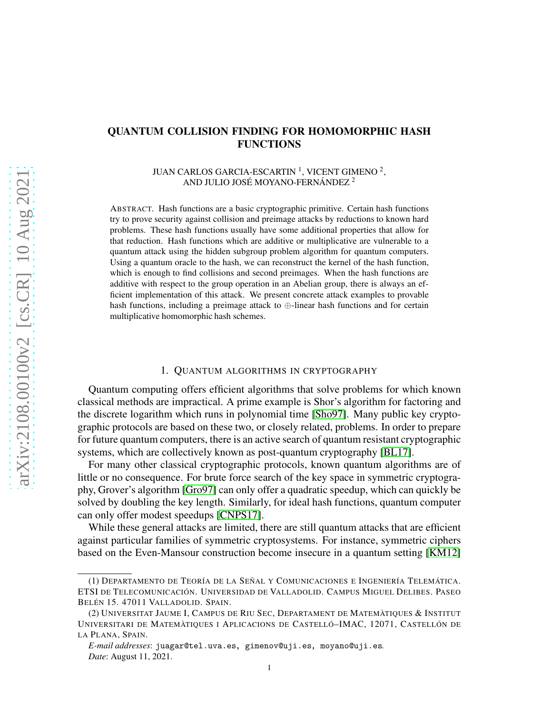# QUANTUM COLLISION FINDING FOR HOMOMORPHIC HASH FUNCTIONS

JUAN CARLOS GARCIA-ESCARTIN  $^1$ , VICENT GIMENO  $^2$ , AND JULIO JOSÉ MOYANO-FERNÁNDEZ <sup>2</sup>

ABSTRACT. Hash functions are a basic cryptographic primitive. Certain hash functions try to prove security against collision and preimage attacks by reductions to known hard problems. These hash functions usually have some additional properties that allow for that reduction. Hash functions which are additive or multiplicative are vulnerable to a quantum attack using the hidden subgroup problem algorithm for quantum computers. Using a quantum oracle to the hash, we can reconstruct the kernel of the hash function, which is enough to find collisions and second preimages. When the hash functions are additive with respect to the group operation in an Abelian group, there is always an efficient implementation of this attack. We present concrete attack examples to provable hash functions, including a preimage attack to ⊕-linear hash functions and for certain multiplicative homomorphic hash schemes.

### 1. QUANTUM ALGORITHMS IN CRYPTOGRAPHY

Quantum computing offers efficient algorithms that solve problems for which known classical methods are impractical. A prime example is Shor's algorithm for factoring and the discrete logarithm which runs in polynomial time [\[Sho97\]](#page-11-0). Many public key cryptographic protocols are based on these two, or closely related, problems. In order to prepare for future quantum computers, there is an active search of quantum resistant cryptographic systems, which are collectively known as post-quantum cryptography [\[BL17\]](#page-10-0).

For many other classical cryptographic protocols, known quantum algorithms are of little or no consequence. For brute force search of the key space in symmetric cryptography, Grover's algorithm [\[Gro97\]](#page-10-1) can only offer a quadratic speedup, which can quickly be solved by doubling the key length. Similarly, for ideal hash functions, quantum computer can only offer modest speedups [\[CNPS17\]](#page-10-2).

While these general attacks are limited, there are still quantum attacks that are efficient against particular families of symmetric cryptosystems. For instance, symmetric ciphers based on the Even-Mansour construction become insecure in a quantum setting [\[KM12\]](#page-10-3)

<sup>(1)</sup> DEPARTAMENTO DE TEORÍA DE LA SEÑAL Y COMUNICACIONES E INGENIERÍA TELEMÁTICA. ETSI DE TELECOMUNICACIÓN. UNIVERSIDAD DE VALLADOLID. CAMPUS MIGUEL DELIBES. PASEO BELÉN 15. 47011 VALLADOLID. SPAIN.

<sup>(2)</sup> UNIVERSITAT JAUME I, CAMPUS DE RIU SEC, DEPARTAMENT DE MATEMÀTIQUES & INSTITUT UNIVERSITARI DE MATEMÀTIQUES I APLICACIONS DE CASTELLÓ–IMAC, 12071, CASTELLÓN DE LA PLANA, SPAIN.

*E-mail addresses*: juagar@tel.uva.es, gimenov@uji.es, moyano@uji.es. *Date*: August 11, 2021.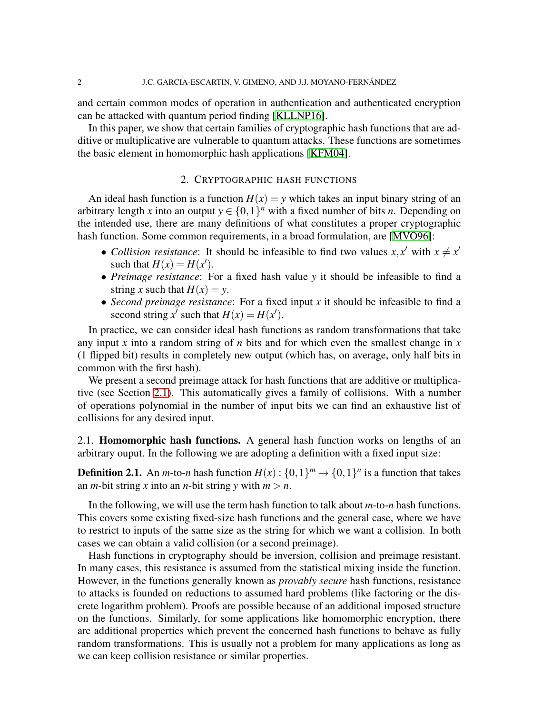and certain common modes of operation in authentication and authenticated encryption can be attacked with quantum period finding [\[KLLNP16\]](#page-10-4).

In this paper, we show that certain families of cryptographic hash functions that are additive or multiplicative are vulnerable to quantum attacks. These functions are sometimes the basic element in homomorphic hash applications [\[KFM04\]](#page-10-5).

## 2. CRYPTOGRAPHIC HASH FUNCTIONS

An ideal hash function is a function  $H(x) = y$  which takes an input binary string of an arbitrary length *x* into an output  $y \in \{0,1\}^n$  with a fixed number of bits *n*. Depending on the intended use, there are many definitions of what constitutes a proper cryptographic hash function. Some common requirements, in a broad formulation, are [\[MVO96\]](#page-11-1):

- *Collision resistance*: It should be infeasible to find two values  $x, x'$  with  $x \neq x'$ such that  $H(x) = H(x')$ .
- *Preimage resistance*: For a fixed hash value *y* it should be infeasible to find a string *x* such that  $H(x) = y$ .
- *Second preimage resistance*: For a fixed input *x* it should be infeasible to find a second string x' such that  $H(x) = H(x')$ .

In practice, we can consider ideal hash functions as random transformations that take any input *x* into a random string of *n* bits and for which even the smallest change in *x* (1 flipped bit) results in completely new output (which has, on average, only half bits in common with the first hash).

We present a second preimage attack for hash functions that are additive or multiplicative (see Section [2.1\)](#page-1-0). This automatically gives a family of collisions. With a number of operations polynomial in the number of input bits we can find an exhaustive list of collisions for any desired input.

<span id="page-1-0"></span>2.1. Homomorphic hash functions. A general hash function works on lengths of an arbitrary ouput. In the following we are adopting a definition with a fixed input size:

**Definition 2.1.** An *m*-to-*n* hash function  $H(x)$ :  $\{0,1\}^m \rightarrow \{0,1\}^n$  is a function that takes an *m*-bit string *x* into an *n*-bit string *y* with  $m > n$ .

In the following, we will use the term hash function to talk about *m*-to-*n* hash functions. This covers some existing fixed-size hash functions and the general case, where we have to restrict to inputs of the same size as the string for which we want a collision. In both cases we can obtain a valid collision (or a second preimage).

Hash functions in cryptography should be inversion, collision and preimage resistant. In many cases, this resistance is assumed from the statistical mixing inside the function. However, in the functions generally known as *provably secure* hash functions, resistance to attacks is founded on reductions to assumed hard problems (like factoring or the discrete logarithm problem). Proofs are possible because of an additional imposed structure on the functions. Similarly, for some applications like homomorphic encryption, there are additional properties which prevent the concerned hash functions to behave as fully random transformations. This is usually not a problem for many applications as long as we can keep collision resistance or similar properties.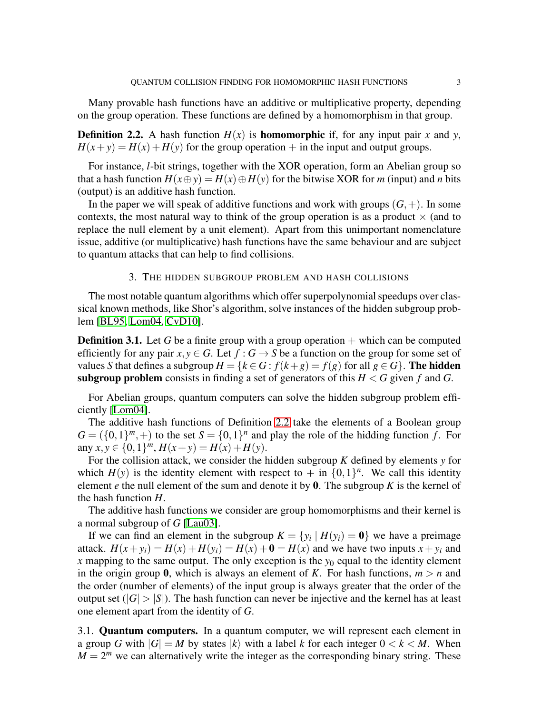Many provable hash functions have an additive or multiplicative property, depending on the group operation. These functions are defined by a homomorphism in that group.

<span id="page-2-0"></span>**Definition 2.2.** A hash function  $H(x)$  is **homomorphic** if, for any input pair *x* and *y*,  $H(x+y) = H(x) + H(y)$  for the group operation + in the input and output groups.

For instance, *l*-bit strings, together with the XOR operation, form an Abelian group so that a hash function  $H(x \oplus y) = H(x) \oplus H(y)$  for the bitwise XOR for *m* (input) and *n* bits (output) is an additive hash function.

In the paper we will speak of additive functions and work with groups  $(G,+)$ . In some contexts, the most natural way to think of the group operation is as a product  $\times$  (and to replace the null element by a unit element). Apart from this unimportant nomenclature issue, additive (or multiplicative) hash functions have the same behaviour and are subject to quantum attacks that can help to find collisions.

## 3. THE HIDDEN SUBGROUP PROBLEM AND HASH COLLISIONS

The most notable quantum algorithms which offer superpolynomial speedups over classical known methods, like Shor's algorithm, solve instances of the hidden subgroup problem [\[BL95,](#page-10-6) [Lom04,](#page-11-2) [CvD10\]](#page-10-7).

**Definition 3.1.** Let G be a finite group with a group operation  $+$  which can be computed efficiently for any pair  $x, y \in G$ . Let  $f : G \to S$  be a function on the group for some set of values *S* that defines a subgroup  $H = \{k \in G : f(k+g) = f(g) \text{ for all } g \in G\}$ . The hidden **subgroup problem** consists in finding a set of generators of this  $H < G$  given f and G.

For Abelian groups, quantum computers can solve the hidden subgroup problem efficiently [\[Lom04\]](#page-11-2).

The additive hash functions of Definition [2.2](#page-2-0) take the elements of a Boolean group  $G = (\{0,1\}^m, +)$  to the set  $S = \{0,1\}^n$  and play the role of the hidding function *f*. For  $\text{any } x, y \in \{0, 1\}^m, H(x+y) = H(x) + H(y).$ 

For the collision attack, we consider the hidden subgroup *K* defined by elements *y* for which  $H(y)$  is the identity element with respect to  $+$  in  $\{0,1\}^n$ . We call this identity element *e* the null element of the sum and denote it by 0. The subgroup *K* is the kernel of the hash function *H*.

The additive hash functions we consider are group homomorphisms and their kernel is a normal subgroup of *G* [\[Lau03\]](#page-11-3).

If we can find an element in the subgroup  $K = \{y_i | H(y_i) = 0\}$  we have a preimage attack.  $H(x + y_i) = H(x) + H(y_i) = H(x) + \mathbf{0} = H(x)$  and we have two inputs  $x + y_i$  and *x* mapping to the same output. The only exception is the  $y_0$  equal to the identity element in the origin group 0, which is always an element of *K*. For hash functions,  $m > n$  and the order (number of elements) of the input group is always greater that the order of the output set  $(|G| > |S|)$ . The hash function can never be injective and the kernel has at least one element apart from the identity of *G*.

3.1. Quantum computers. In a quantum computer, we will represent each element in a group *G* with  $|G| = M$  by states  $|k\rangle$  with a label *k* for each integer  $0 < k < M$ . When  $M = 2<sup>m</sup>$  we can alternatively write the integer as the corresponding binary string. These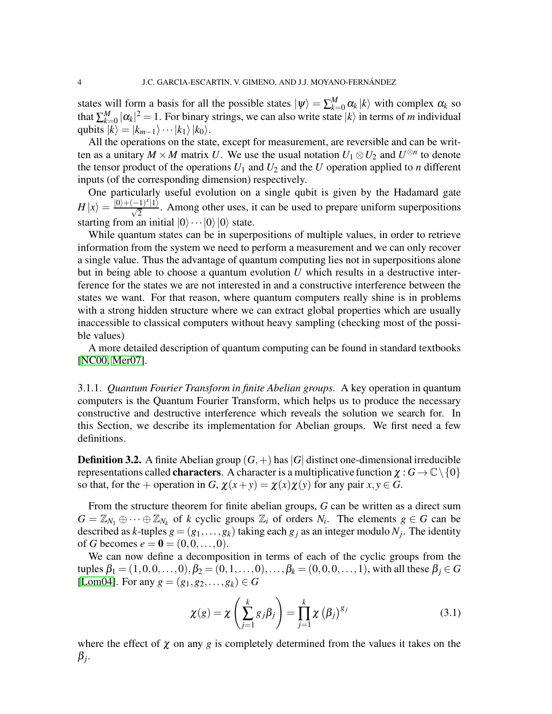states will form a basis for all the possible states  $|\psi\rangle = \sum_{k=0}^{M} \alpha_k |k\rangle$  with complex  $\alpha_k$  so that  $\sum_{k=0}^{M} |\alpha_k|^2 = 1$ . For binary strings, we can also write state  $|k\rangle$  in terms of *m* individual qubits  $|k\rangle = |k_{m-1}\rangle \cdots |k_1\rangle |k_0\rangle$ .

All the operations on the state, except for measurement, are reversible and can be written as a unitary  $M \times M$  matrix *U*. We use the usual notation  $U_1 \otimes U_2$  and  $U^{\otimes n}$  to denote the tensor product of the operations  $U_1$  and  $U_2$  and the  $U$  operation applied to  $n$  different inputs (of the corresponding dimension) respectively.

One particularly useful evolution on a single qubit is given by the Hadamard gate  $H|x\rangle = \frac{|0\rangle + (-1)^x |1\rangle}{\sqrt{2}}$ . Among other uses, it can be used to prepare uniform superpositions starting from an initial  $|0\rangle \cdots |0\rangle |0\rangle$  state.

While quantum states can be in superpositions of multiple values, in order to retrieve information from the system we need to perform a measurement and we can only recover a single value. Thus the advantage of quantum computing lies not in superpositions alone but in being able to choose a quantum evolution *U* which results in a destructive interference for the states we are not interested in and a constructive interference between the states we want. For that reason, where quantum computers really shine is in problems with a strong hidden structure where we can extract global properties which are usually inaccessible to classical computers without heavy sampling (checking most of the possible values)

A more detailed description of quantum computing can be found in standard textbooks [\[NC00,](#page-11-4) [Mer07\]](#page-11-5).

<span id="page-3-0"></span>3.1.1. *Quantum Fourier Transform in finite Abelian groups.* A key operation in quantum computers is the Quantum Fourier Transform, which helps us to produce the necessary constructive and destructive interference which reveals the solution we search for. In this Section, we describe its implementation for Abelian groups. We first need a few definitions.

**Definition 3.2.** A finite Abelian group  $(G,+)$  has  $|G|$  distinct one-dimensional irreducible representations called **characters**. A character is a multiplicative function  $\chi : G \to \mathbb{C} \setminus \{0\}$ so that, for the + operation in *G*,  $\chi(x+y) = \chi(x)\chi(y)$  for any pair  $x, y \in G$ .

From the structure theorem for finite abelian groups, *G* can be written as a direct sum  $G = \mathbb{Z}_{N_1} \oplus \cdots \oplus \mathbb{Z}_{N_k}$  of *k* cyclic groups  $\mathbb{Z}_i$  of orders  $N_i$ . The elements  $g \in G$  can be described as *k*-tuples  $g = (g_1, \ldots, g_k)$  taking each  $g_j$  as an integer modulo  $N_j$ . The identity of *G* becomes  $e = 0 = (0, 0, \dots, 0)$ .

We can now define a decomposition in terms of each of the cyclic groups from the tuples  $\beta_1 = (1,0,0,\ldots,0), \beta_2 = (0,1,\ldots,0), \ldots, \beta_k = (0,0,0,\ldots,1)$ , with all these  $\beta_j \in G$ [\[Lom04\]](#page-11-2). For any  $g = (g_1, g_2, \ldots, g_k) \in G$ 

$$
\chi(g) = \chi\left(\sum_{j=1}^{k} g_j \beta_j\right) = \prod_{j=1}^{k} \chi\left(\beta_j\right)^{g_j} \tag{3.1}
$$

where the effect of  $\chi$  on any  $g$  is completely determined from the values it takes on the β *j* .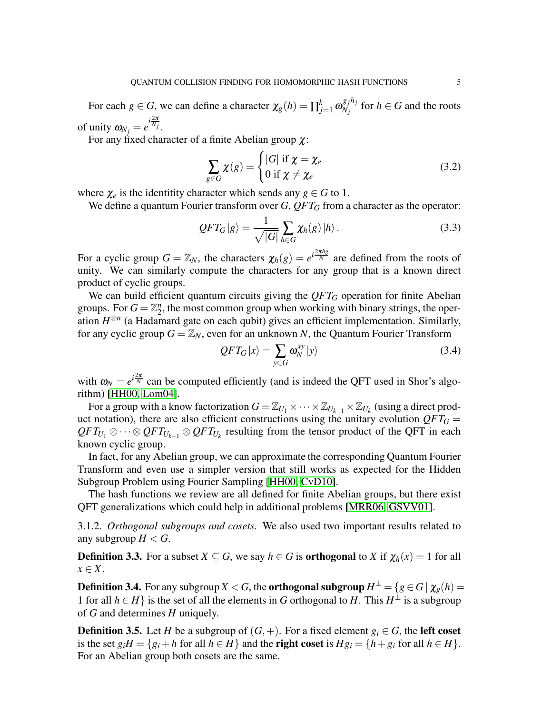For each  $g \in G$ , we can define a character  $\chi_g(h) = \prod_{j=1}^k \omega_{N_j}^{g_j h_j}$  $N_j^{g_j n_j}$  for  $h \in G$  and the roots of unity  $\omega_{N_j} = e^{i\frac{2\pi}{N_j}}$ .

For any fixed character of a finite Abelian group  $\chi$ :

<span id="page-4-0"></span>
$$
\sum_{g \in G} \chi(g) = \begin{cases} |G| & \text{if } \chi = \chi_e \\ 0 & \text{if } \chi \neq \chi_e \end{cases}
$$
 (3.2)

where  $\chi_e$  is the identitity character which sends any  $g \in G$  to 1.

We define a quantum Fourier transform over *G*, QFT<sub>*G*</sub> from a character as the operator:

$$
QFT_G|g\rangle = \frac{1}{\sqrt{|G|}} \sum_{h \in G} \chi_h(g) |h\rangle.
$$
 (3.3)

For a cyclic group  $G = \mathbb{Z}_N$ , the characters  $\chi_h(g) = e^{i\frac{2\pi hg}{N}}$  are defined from the roots of unity. We can similarly compute the characters for any group that is a known direct product of cyclic groups.

We can build efficient quantum circuits giving the  $QFT_G$  operation for finite Abelian groups. For  $G = \mathbb{Z}_2^n$ , the most common group when working with binary strings, the operation  $H^{\otimes n}$  (a Hadamard gate on each qubit) gives an efficient implementation. Similarly, for any cyclic group  $G = \mathbb{Z}_N$ , even for an unknown N, the Quantum Fourier Transform

$$
QFT_G|x\rangle = \sum_{y \in G} \omega_N^{xy} |y\rangle \tag{3.4}
$$

with  $\omega_N = e^{i\frac{2\pi}{N}}$  can be computed efficiently (and is indeed the QFT used in Shor's algorithm) [\[HH00,](#page-10-8) [Lom04\]](#page-11-2).

For a group with a know factorization  $G = \mathbb{Z}_{U_1} \times \cdots \times \mathbb{Z}_{U_{k-1}} \times \mathbb{Z}_{U_k}$  (using a direct product notation), there are also efficient constructions using the unitary evolution  $QFT_G =$  $QFT_{U_1} \otimes \cdots \otimes QFT_{U_{k-1}} \otimes QFT_{U_k}$  resulting from the tensor product of the QFT in each known cyclic group.

In fact, for any Abelian group, we can approximate the corresponding Quantum Fourier Transform and even use a simpler version that still works as expected for the Hidden Subgroup Problem using Fourier Sampling [\[HH00,](#page-10-8) [CvD10\]](#page-10-7).

The hash functions we review are all defined for finite Abelian groups, but there exist QFT generalizations which could help in additional problems [\[MRR06,](#page-11-6) [GSVV01\]](#page-10-9).

3.1.2. *Orthogonal subgroups and cosets.* We also used two important results related to any subgroup  $H < G$ .

**Definition 3.3.** For a subset  $X \subseteq G$ , we say  $h \in G$  is **orthogonal** to *X* if  $\chi_h(x) = 1$  for all *x* ∈ *X*.

<span id="page-4-1"></span>**Definition 3.4.** For any subgroup  $X < G$ , the **orthogonal subgroup**  $H^{\perp} = \{g \in G \mid \chi_g(h) = 0\}$ 1 for all *h* ∈ *H*} is the set of all the elements in *G* orthogonal to *H*. This  $H^{\perp}$  is a subgroup of *G* and determines *H* uniquely.

**Definition 3.5.** Let *H* be a subgroup of  $(G, +)$ . For a fixed element  $g_i \in G$ , the **left coset** is the set  $g_iH = \{g_i + h$  for all  $h \in H\}$  and the **right coset** is  $Hg_i = \{h + g_i$  for all  $h \in H\}$ . For an Abelian group both cosets are the same.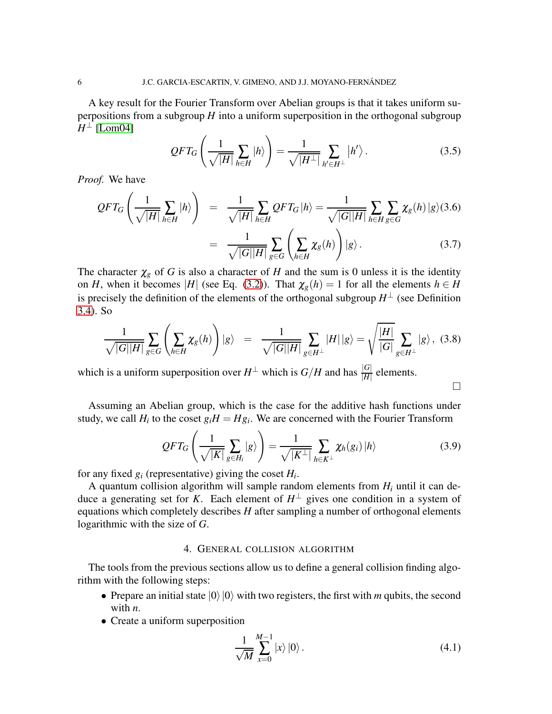A key result for the Fourier Transform over Abelian groups is that it takes uniform superpositions from a subgroup *H* into a uniform superposition in the orthogonal subgroup  $H^{\perp}$  [\[Lom04\]](#page-11-2)

$$
QFT_G\left(\frac{1}{\sqrt{|H|}}\sum_{h\in H}|h\rangle\right) = \frac{1}{\sqrt{|H^{\perp}|}}\sum_{h'\in H^{\perp}}|h'\rangle.
$$
 (3.5)

*Proof.* We have

$$
QFT_G\left(\frac{1}{\sqrt{|H|}}\sum_{h\in H}|h\rangle\right) = \frac{1}{\sqrt{|H|}}\sum_{h\in H}QFT_G|h\rangle = \frac{1}{\sqrt{|G||H|}}\sum_{h\in H} \sum_{g\in G} \chi_g(h)|g\rangle(3.6)
$$

$$
= \frac{1}{\sqrt{|G||H|}}\sum_{g\in G} \left(\sum_{h\in H} \chi_g(h)\right)|g\rangle. \tag{3.7}
$$

The character  $\chi_g$  of *G* is also a character of *H* and the sum is 0 unless it is the identity on *H*, when it becomes |*H*| (see Eq. [\(3.2\)](#page-4-0)). That  $\chi_g(h) = 1$  for all the elements  $h \in H$ is precisely the definition of the elements of the orthogonal subgroup  $H^{\perp}$  (see Definition [3.4\)](#page-4-1). So

$$
\frac{1}{\sqrt{|G||H|}}\sum_{g\in G}\left(\sum_{h\in H}\chi_g(h)\right)|g\rangle = \frac{1}{\sqrt{|G||H|}}\sum_{g\in H^{\perp}}|H||g\rangle = \sqrt{\frac{|H|}{|G|}}\sum_{g\in H^{\perp}}|g\rangle, \quad (3.8)
$$

which is a uniform superposition over  $H^{\perp}$  which is  $G/H$  and has  $\frac{|G|}{|H|}$  elements.

Assuming an Abelian group, which is the case for the additive hash functions under study, we call  $H_i$  to the coset  $g_i H = Hg_i$ . We are concerned with the Fourier Transform

$$
QFT_G\left(\frac{1}{\sqrt{|K|}}\sum_{g\in H_i}|g\rangle\right)=\frac{1}{\sqrt{|K^\perp|}}\sum_{h\in K^\perp}\chi_h(g_i)|h\rangle\tag{3.9}
$$

 $\Box$ 

for any fixed  $g_i$  (representative) giving the coset  $H_i$ .

A quantum collision algorithm will sample random elements from  $H_i$  until it can deduce a generating set for *K*. Each element of  $H^{\perp}$  gives one condition in a system of equations which completely describes *H* after sampling a number of orthogonal elements logarithmic with the size of *G*.

## 4. GENERAL COLLISION ALGORITHM

The tools from the previous sections allow us to define a general collision finding algorithm with the following steps:

- Prepare an initial state  $|0\rangle|0\rangle$  with two registers, the first with *m* qubits, the second with *n*.
- Create a uniform superposition

$$
\frac{1}{\sqrt{M}}\sum_{x=0}^{M-1}|x\rangle|0\rangle.
$$
 (4.1)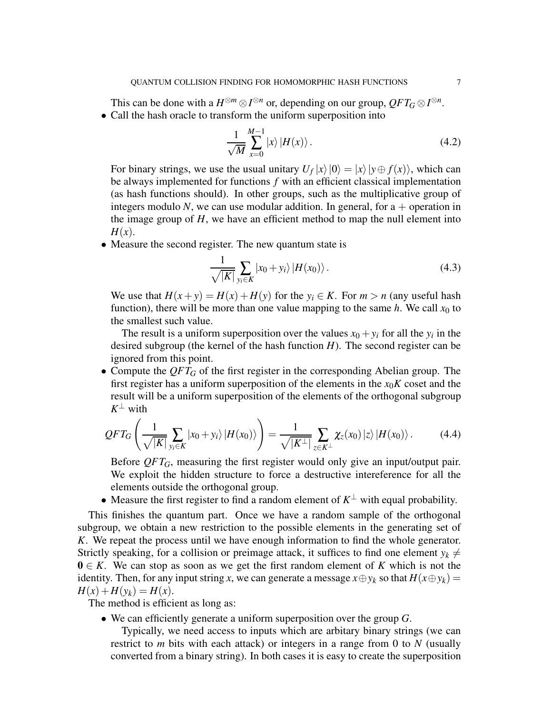This can be done with a  $H^{\otimes m} \otimes I^{\otimes n}$  or, depending on our group,  $QFT_G \otimes I^{\otimes n}$ . • Call the hash oracle to transform the uniform superposition into

$$
\frac{1}{\sqrt{M}}\sum_{x=0}^{M-1}|x\rangle|H(x)\rangle.
$$
 (4.2)

For binary strings, we use the usual unitary  $U_f |x\rangle |0\rangle = |x\rangle |y \oplus f(x)\rangle$ , which can be always implemented for functions *f* with an efficient classical implementation (as hash functions should). In other groups, such as the multiplicative group of integers modulo  $N$ , we can use modular addition. In general, for  $a +$  operation in the image group of *H*, we have an efficient method to map the null element into *H*(*x*).

• Measure the second register. The new quantum state is

$$
\frac{1}{\sqrt{|K|}}\sum_{y_i\in K}|x_0+y_i\rangle|H(x_0)\rangle.
$$
 (4.3)

We use that  $H(x + y) = H(x) + H(y)$  for the  $y_i \in K$ . For  $m > n$  (any useful hash function), there will be more than one value mapping to the same  $h$ . We call  $x_0$  to the smallest such value.

The result is a uniform superposition over the values  $x_0 + y_i$  for all the  $y_i$  in the desired subgroup (the kernel of the hash function *H*). The second register can be ignored from this point.

• Compute the  $QFT_G$  of the first register in the corresponding Abelian group. The first register has a uniform superposition of the elements in the  $x_0K$  coset and the result will be a uniform superposition of the elements of the orthogonal subgroup  $K^{\perp}$  with

$$
QFT_G\left(\frac{1}{\sqrt{|K|}}\sum_{y_i\in K}|x_0+y_i\rangle|H(x_0)\rangle\right)=\frac{1}{\sqrt{|K^\perp|}}\sum_{z\in K^\perp}\chi_z(x_0)|z\rangle|H(x_0)\rangle.
$$
 (4.4)

Before *QFT<sub>G</sub>*, measuring the first register would only give an input/output pair. We exploit the hidden structure to force a destructive intereference for all the elements outside the orthogonal group.

• Measure the first register to find a random element of  $K^{\perp}$  with equal probability.

This finishes the quantum part. Once we have a random sample of the orthogonal subgroup, we obtain a new restriction to the possible elements in the generating set of *K*. We repeat the process until we have enough information to find the whole generator. Strictly speaking, for a collision or preimage attack, it suffices to find one element  $y_k \neq$  $0 \in K$ . We can stop as soon as we get the first random element of K which is not the identity. Then, for any input string *x*, we can generate a message  $x \oplus y_k$  so that  $H(x \oplus y_k) =$  $H(x) + H(y_k) = H(x)$ .

The method is efficient as long as:

• We can efficiently generate a uniform superposition over the group *G*.

Typically, we need access to inputs which are arbitary binary strings (we can restrict to *m* bits with each attack) or integers in a range from 0 to *N* (usually converted from a binary string). In both cases it is easy to create the superposition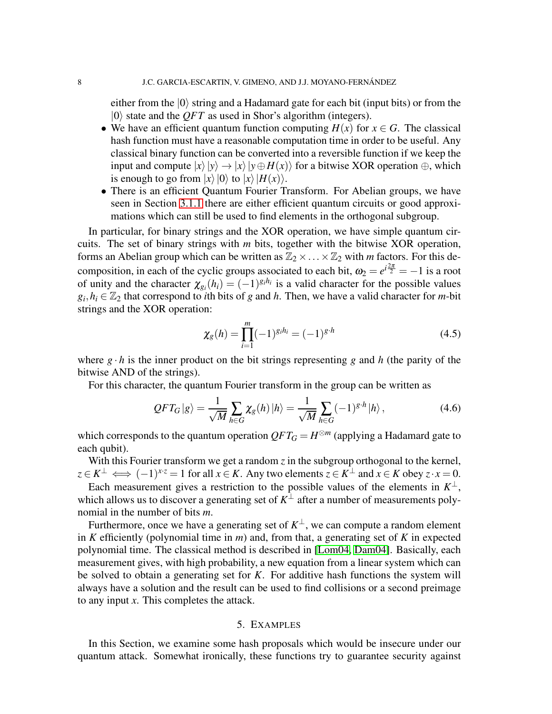either from the  $|0\rangle$  string and a Hadamard gate for each bit (input bits) or from the  $|0\rangle$  state and the *QFT* as used in Shor's algorithm (integers).

- We have an efficient quantum function computing  $H(x)$  for  $x \in G$ . The classical hash function must have a reasonable computation time in order to be useful. Any classical binary function can be converted into a reversible function if we keep the input and compute  $|x\rangle|y\rangle \rightarrow |x\rangle|y \oplus H(x)\rangle$  for a bitwise XOR operation  $\oplus$ , which is enough to go from  $|x\rangle|0\rangle$  to  $|x\rangle|H(x)\rangle$ .
- There is an efficient Quantum Fourier Transform. For Abelian groups, we have seen in Section [3.1.1](#page-3-0) there are either efficient quantum circuits or good approximations which can still be used to find elements in the orthogonal subgroup.

In particular, for binary strings and the XOR operation, we have simple quantum circuits. The set of binary strings with *m* bits, together with the bitwise XOR operation, forms an Abelian group which can be written as  $\mathbb{Z}_2 \times \ldots \times \mathbb{Z}_2$  with *m* factors. For this decomposition, in each of the cyclic groups associated to each bit,  $\omega_2 = e^{i\frac{2\pi}{2}} = -1$  is a root of unity and the character  $\chi_{g_i}(h_i) = (-1)^{g_i h_i}$  is a valid character for the possible values  $g_i, h_i \in \mathbb{Z}_2$  that correspond to *i*th bits of *g* and *h*. Then, we have a valid character for *m*-bit strings and the XOR operation:

$$
\chi_g(h) = \prod_{i=1}^m (-1)^{g_i h_i} = (-1)^{g \cdot h} \tag{4.5}
$$

where  $g \cdot h$  is the inner product on the bit strings representing g and h (the parity of the bitwise AND of the strings).

For this character, the quantum Fourier transform in the group can be written as

$$
QFT_G|g\rangle = \frac{1}{\sqrt{M}} \sum_{h \in G} \chi_g(h) |h\rangle = \frac{1}{\sqrt{M}} \sum_{h \in G} (-1)^{g \cdot h} |h\rangle, \qquad (4.6)
$$

which corresponds to the quantum operation  $QFT_G = H^{\otimes m}$  (applying a Hadamard gate to each qubit).

With this Fourier transform we get a random  $\zeta$  in the subgroup orthogonal to the kernel,  $z \in K^{\perp} \iff (-1)^{x \cdot z} = 1$  for all  $x \in K$ . Any two elements  $z \in K^{\perp}$  and  $x \in K$  obey  $z \cdot x = 0$ .

Each measurement gives a restriction to the possible values of the elements in  $K^{\perp}$ , which allows us to discover a generating set of  $K^{\perp}$  after a number of measurements polynomial in the number of bits *m*.

Furthermore, once we have a generating set of  $K^{\perp}$ , we can compute a random element in *K* efficiently (polynomial time in *m*) and, from that, a generating set of *K* in expected polynomial time. The classical method is described in [\[Lom04,](#page-11-2) [Dam04\]](#page-10-10). Basically, each measurement gives, with high probability, a new equation from a linear system which can be solved to obtain a generating set for *K*. For additive hash functions the system will always have a solution and the result can be used to find collisions or a second preimage to any input *x*. This completes the attack.

## 5. EXAMPLES

In this Section, we examine some hash proposals which would be insecure under our quantum attack. Somewhat ironically, these functions try to guarantee security against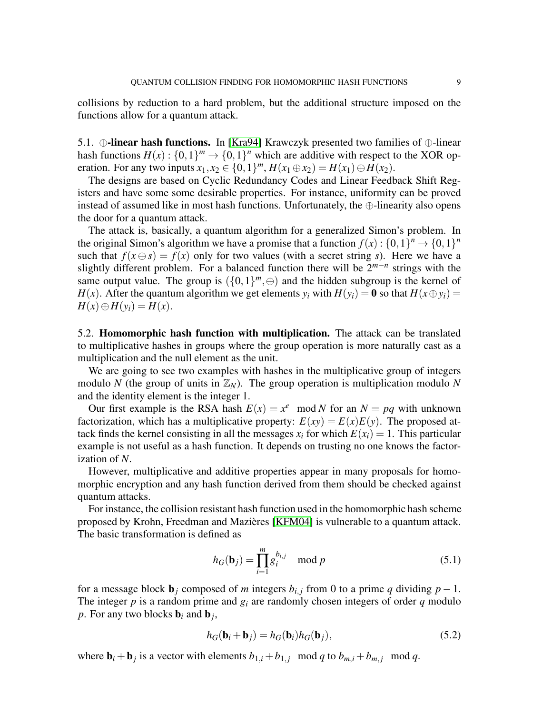collisions by reduction to a hard problem, but the additional structure imposed on the functions allow for a quantum attack.

5.1.  $\oplus$ -linear hash functions. In [\[Kra94\]](#page-11-7) Krawczyk presented two families of  $\oplus$ -linear hash functions  $H(x): \{0,1\}^m \to \{0,1\}^n$  which are additive with respect to the XOR operation. For any two inputs  $x_1, x_2 \in \{0, 1\}^m$ ,  $H(x_1 \oplus x_2) = H(x_1) \oplus H(x_2)$ .

The designs are based on Cyclic Redundancy Codes and Linear Feedback Shift Registers and have some some desirable properties. For instance, uniformity can be proved instead of assumed like in most hash functions. Unfortunately, the ⊕-linearity also opens the door for a quantum attack.

The attack is, basically, a quantum algorithm for a generalized Simon's problem. In the original Simon's algorithm we have a promise that a function  $f(x) : \{0,1\}^n \to \{0,1\}^n$ such that  $f(x \oplus s) = f(x)$  only for two values (with a secret string *s*). Here we have a slightly different problem. For a balanced function there will be  $2^{m-n}$  strings with the same output value. The group is  $({0,1})^m$ ,  $\oplus$ ) and the hidden subgroup is the kernel of *H*(*x*). After the quantum algorithm we get elements  $y_i$  with  $H(y_i) = \mathbf{0}$  so that  $H(x \oplus y_i) =$  $H(x) \oplus H(y_i) = H(x)$ .

5.2. Homomorphic hash function with multiplication. The attack can be translated to multiplicative hashes in groups where the group operation is more naturally cast as a multiplication and the null element as the unit.

We are going to see two examples with hashes in the multiplicative group of integers modulo *N* (the group of units in  $\mathbb{Z}_N$ ). The group operation is multiplication modulo *N* and the identity element is the integer 1.

Our first example is the RSA hash  $E(x) = x^e \mod N$  for an  $N = pq$  with unknown factorization, which has a multiplicative property:  $E(xy) = E(x)E(y)$ . The proposed attack finds the kernel consisting in all the messages  $x_i$  for which  $E(x_i) = 1$ . This particular example is not useful as a hash function. It depends on trusting no one knows the factorization of *N*.

However, multiplicative and additive properties appear in many proposals for homomorphic encryption and any hash function derived from them should be checked against quantum attacks.

For instance, the collision resistant hash function used in the homomorphic hash scheme proposed by Krohn, Freedman and Mazières [\[KFM04\]](#page-10-5) is vulnerable to a quantum attack. The basic transformation is defined as

$$
h_G(\mathbf{b}_j) = \prod_{i=1}^m g_i^{b_{i,j}} \mod p \tag{5.1}
$$

for a message block  $\mathbf{b}_j$  composed of *m* integers  $b_{i,j}$  from 0 to a prime *q* dividing  $p-1$ . The integer  $p$  is a random prime and  $g_i$  are randomly chosen integers of order  $q$  modulo *p*. For any two blocks  $\mathbf{b}_i$  and  $\mathbf{b}_j$ ,

$$
h_G(\mathbf{b}_i + \mathbf{b}_j) = h_G(\mathbf{b}_i)h_G(\mathbf{b}_j),
$$
\n(5.2)

where  $\mathbf{b}_i + \mathbf{b}_j$  is a vector with elements  $b_{1,i} + b_{1,j} \mod q$  to  $b_{m,i} + b_{m,j} \mod q$ .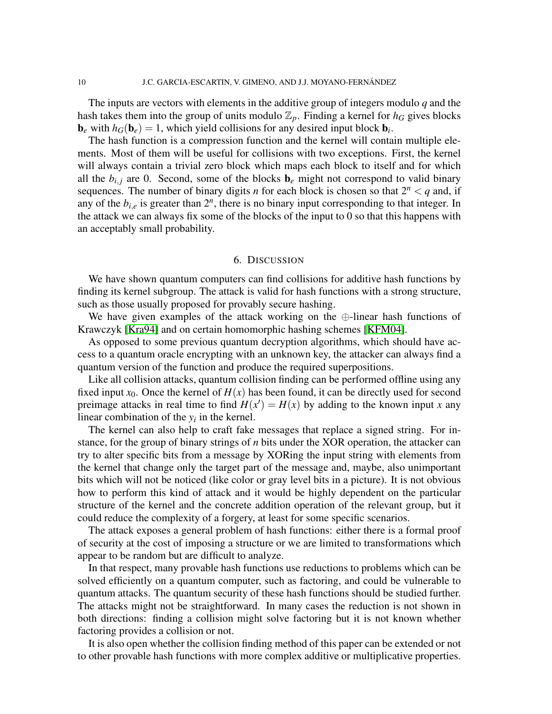The inputs are vectors with elements in the additive group of integers modulo *q* and the hash takes them into the group of units modulo  $\mathbb{Z}_p$ . Finding a kernel for  $h_G$  gives blocks  **with**  $h_G(**b**<sub>e</sub>) = 1$ **, which yield collisions for any desired input block**  $**b**<sub>i</sub>$ **.** 

The hash function is a compression function and the kernel will contain multiple elements. Most of them will be useful for collisions with two exceptions. First, the kernel will always contain a trivial zero block which maps each block to itself and for which all the  $b_{i,i}$  are 0. Second, some of the blocks  $\mathbf{b}_e$  might not correspond to valid binary sequences. The number of binary digits *n* for each block is chosen so that  $2^n < q$  and, if any of the  $b_{i,e}$  is greater than  $2^n$ , there is no binary input corresponding to that integer. In the attack we can always fix some of the blocks of the input to 0 so that this happens with an acceptably small probability.

### 6. DISCUSSION

We have shown quantum computers can find collisions for additive hash functions by finding its kernel subgroup. The attack is valid for hash functions with a strong structure, such as those usually proposed for provably secure hashing.

We have given examples of the attack working on the ⊕-linear hash functions of Krawczyk [\[Kra94\]](#page-11-7) and on certain homomorphic hashing schemes [\[KFM04\]](#page-10-5).

As opposed to some previous quantum decryption algorithms, which should have access to a quantum oracle encrypting with an unknown key, the attacker can always find a quantum version of the function and produce the required superpositions.

Like all collision attacks, quantum collision finding can be performed offline using any fixed input  $x_0$ . Once the kernel of  $H(x)$  has been found, it can be directly used for second preimage attacks in real time to find  $H(x') = H(x)$  by adding to the known input *x* any linear combination of the  $y_i$  in the kernel.

The kernel can also help to craft fake messages that replace a signed string. For instance, for the group of binary strings of *n* bits under the XOR operation, the attacker can try to alter specific bits from a message by XORing the input string with elements from the kernel that change only the target part of the message and, maybe, also unimportant bits which will not be noticed (like color or gray level bits in a picture). It is not obvious how to perform this kind of attack and it would be highly dependent on the particular structure of the kernel and the concrete addition operation of the relevant group, but it could reduce the complexity of a forgery, at least for some specific scenarios.

The attack exposes a general problem of hash functions: either there is a formal proof of security at the cost of imposing a structure or we are limited to transformations which appear to be random but are difficult to analyze.

In that respect, many provable hash functions use reductions to problems which can be solved efficiently on a quantum computer, such as factoring, and could be vulnerable to quantum attacks. The quantum security of these hash functions should be studied further. The attacks might not be straightforward. In many cases the reduction is not shown in both directions: finding a collision might solve factoring but it is not known whether factoring provides a collision or not.

It is also open whether the collision finding method of this paper can be extended or not to other provable hash functions with more complex additive or multiplicative properties.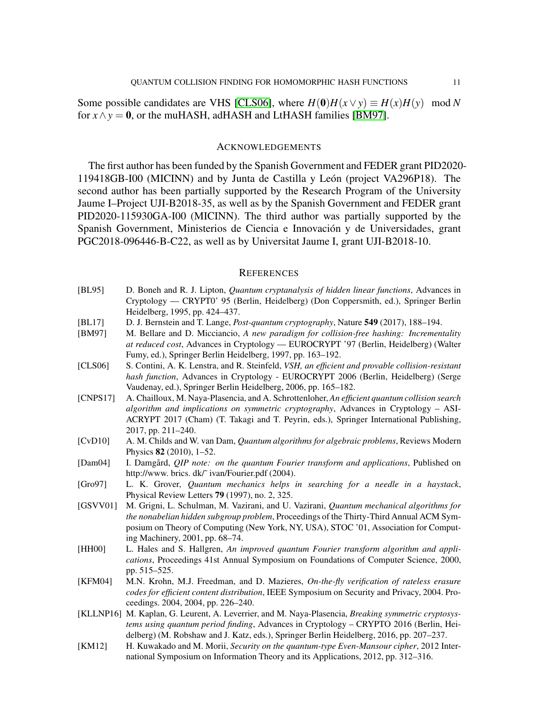Some possible candidates are VHS [\[CLS06\]](#page-10-11), where  $H(0)H(x \vee y) \equiv H(x)H(y) \mod N$ for  $x \wedge y = 0$ , or the muHASH, adHASH and LtHASH families [\[BM97\]](#page-10-12).

### ACKNOWLEDGEMENTS

The first author has been funded by the Spanish Government and FEDER grant PID2020- 119418GB-I00 (MICINN) and by Junta de Castilla y León (project VA296P18). The second author has been partially supported by the Research Program of the University Jaume I–Project UJI-B2018-35, as well as by the Spanish Government and FEDER grant PID2020-115930GA-I00 (MICINN). The third author was partially supported by the Spanish Government, Ministerios de Ciencia e Innovación y de Universidades, grant PGC2018-096446-B-C22, as well as by Universitat Jaume I, grant UJI-B2018-10.

### **REFERENCES**

- <span id="page-10-6"></span>[BL95] D. Boneh and R. J. Lipton, *Quantum cryptanalysis of hidden linear functions*, Advances in Cryptology — CRYPT0' 95 (Berlin, Heidelberg) (Don Coppersmith, ed.), Springer Berlin Heidelberg, 1995, pp. 424–437.
- <span id="page-10-0"></span>[BL17] D. J. Bernstein and T. Lange, *Post-quantum cryptography*, Nature 549 (2017), 188–194.
- <span id="page-10-12"></span>[BM97] M. Bellare and D. Micciancio, *A new paradigm for collision-free hashing: Incrementality at reduced cost*, Advances in Cryptology — EUROCRYPT '97 (Berlin, Heidelberg) (Walter Fumy, ed.), Springer Berlin Heidelberg, 1997, pp. 163–192.
- <span id="page-10-11"></span>[CLS06] S. Contini, A. K. Lenstra, and R. Steinfeld, *VSH, an efficient and provable collision-resistant hash function*, Advances in Cryptology - EUROCRYPT 2006 (Berlin, Heidelberg) (Serge Vaudenay, ed.), Springer Berlin Heidelberg, 2006, pp. 165–182.
- <span id="page-10-2"></span>[CNPS17] A. Chailloux, M. Naya-Plasencia, and A. Schrottenloher, *An efficient quantum collision search algorithm and implications on symmetric cryptography*, Advances in Cryptology – ASI-ACRYPT 2017 (Cham) (T. Takagi and T. Peyrin, eds.), Springer International Publishing, 2017, pp. 211–240.
- <span id="page-10-7"></span>[CvD10] A. M. Childs and W. van Dam, *Quantum algorithms for algebraic problems*, Reviews Modern Physics 82 (2010), 1–52.
- <span id="page-10-10"></span>[Dam04] I. Damgård, *QIP note: on the quantum Fourier transform and applications*, Published on http://www. brics. dk/~ ivan/Fourier.pdf (2004).
- <span id="page-10-1"></span>[Gro97] L. K. Grover, *Quantum mechanics helps in searching for a needle in a haystack*, Physical Review Letters 79 (1997), no. 2, 325.
- <span id="page-10-9"></span>[GSVV01] M. Grigni, L. Schulman, M. Vazirani, and U. Vazirani, *Quantum mechanical algorithms for the nonabelian hidden subgroup problem*, Proceedings of the Thirty-Third Annual ACM Symposium on Theory of Computing (New York, NY, USA), STOC '01, Association for Computing Machinery, 2001, pp. 68–74.
- <span id="page-10-8"></span>[HH00] L. Hales and S. Hallgren, An improved quantum Fourier transform algorithm and appli*cations*, Proceedings 41st Annual Symposium on Foundations of Computer Science, 2000, pp. 515–525.
- <span id="page-10-5"></span>[KFM04] M.N. Krohn, M.J. Freedman, and D. Mazieres, *On-the-fly verification of rateless erasure codes for efficient content distribution*, IEEE Symposium on Security and Privacy, 2004. Proceedings. 2004, 2004, pp. 226–240.
- <span id="page-10-4"></span>[KLLNP16] M. Kaplan, G. Leurent, A. Leverrier, and M. Naya-Plasencia, *Breaking symmetric cryptosystems using quantum period finding*, Advances in Cryptology – CRYPTO 2016 (Berlin, Heidelberg) (M. Robshaw and J. Katz, eds.), Springer Berlin Heidelberg, 2016, pp. 207–237.
- <span id="page-10-3"></span>[KM12] H. Kuwakado and M. Morii, *Security on the quantum-type Even-Mansour cipher*, 2012 International Symposium on Information Theory and its Applications, 2012, pp. 312–316.